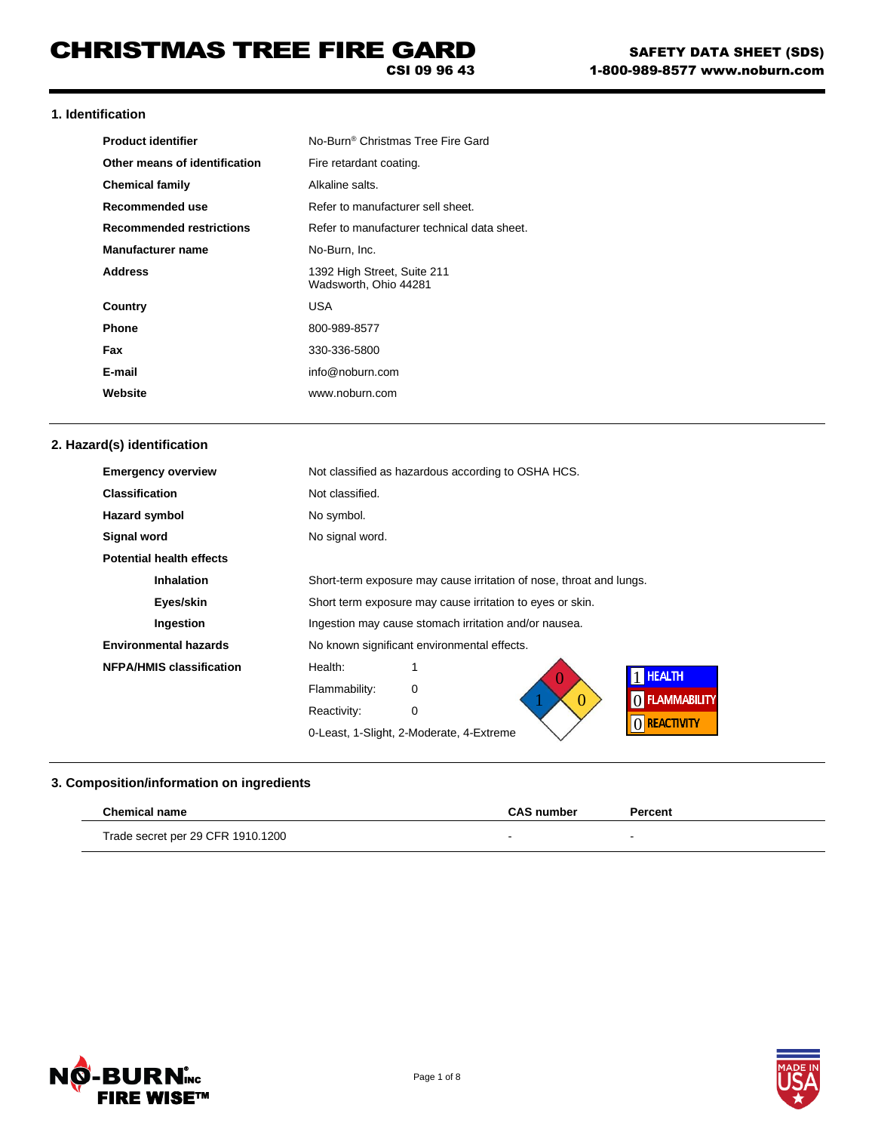### **1. Identification**

| <b>Product identifier</b>       | No-Burn <sup>®</sup> Christmas Tree Fire Gard        |
|---------------------------------|------------------------------------------------------|
| Other means of identification   | Fire retardant coating.                              |
| <b>Chemical family</b>          | Alkaline salts.                                      |
| Recommended use                 | Refer to manufacturer sell sheet.                    |
| <b>Recommended restrictions</b> | Refer to manufacturer technical data sheet.          |
| <b>Manufacturer name</b>        | No-Burn, Inc.                                        |
| <b>Address</b>                  | 1392 High Street, Suite 211<br>Wadsworth, Ohio 44281 |
| Country                         | USA                                                  |
| Phone                           | 800-989-8577                                         |
| Fax                             | 330-336-5800                                         |
| E-mail                          | info@noburn.com                                      |
| Website                         | www.noburn.com                                       |

## **2. Hazard(s) identification**

| <b>Emergency overview</b>       | Not classified as hazardous according to OSHA HCS.                  |  |
|---------------------------------|---------------------------------------------------------------------|--|
| <b>Classification</b>           | Not classified.                                                     |  |
| <b>Hazard symbol</b>            | No symbol.                                                          |  |
| Signal word                     | No signal word.                                                     |  |
| <b>Potential health effects</b> |                                                                     |  |
| <b>Inhalation</b>               | Short-term exposure may cause irritation of nose, throat and lungs. |  |
| Eyes/skin                       | Short term exposure may cause irritation to eyes or skin.           |  |
| Ingestion                       | Ingestion may cause stomach irritation and/or nausea.               |  |
| <b>Environmental hazards</b>    | No known significant environmental effects.                         |  |
| <b>NFPA/HMIS classification</b> | Health:<br><b>HEALTH</b>                                            |  |
|                                 | Flammability:<br>0<br>O FLAMMABILITY<br>0                           |  |
|                                 | Reactivity:<br>0                                                    |  |
|                                 | () REACTIVITY<br>0-Least, 1-Slight, 2-Moderate, 4-Extreme           |  |

# **3. Composition/information on ingredients**

| <b>Chemical name</b>              | <b>CAS number</b> | Percent |
|-----------------------------------|-------------------|---------|
| Trade secret per 29 CFR 1910.1200 |                   |         |



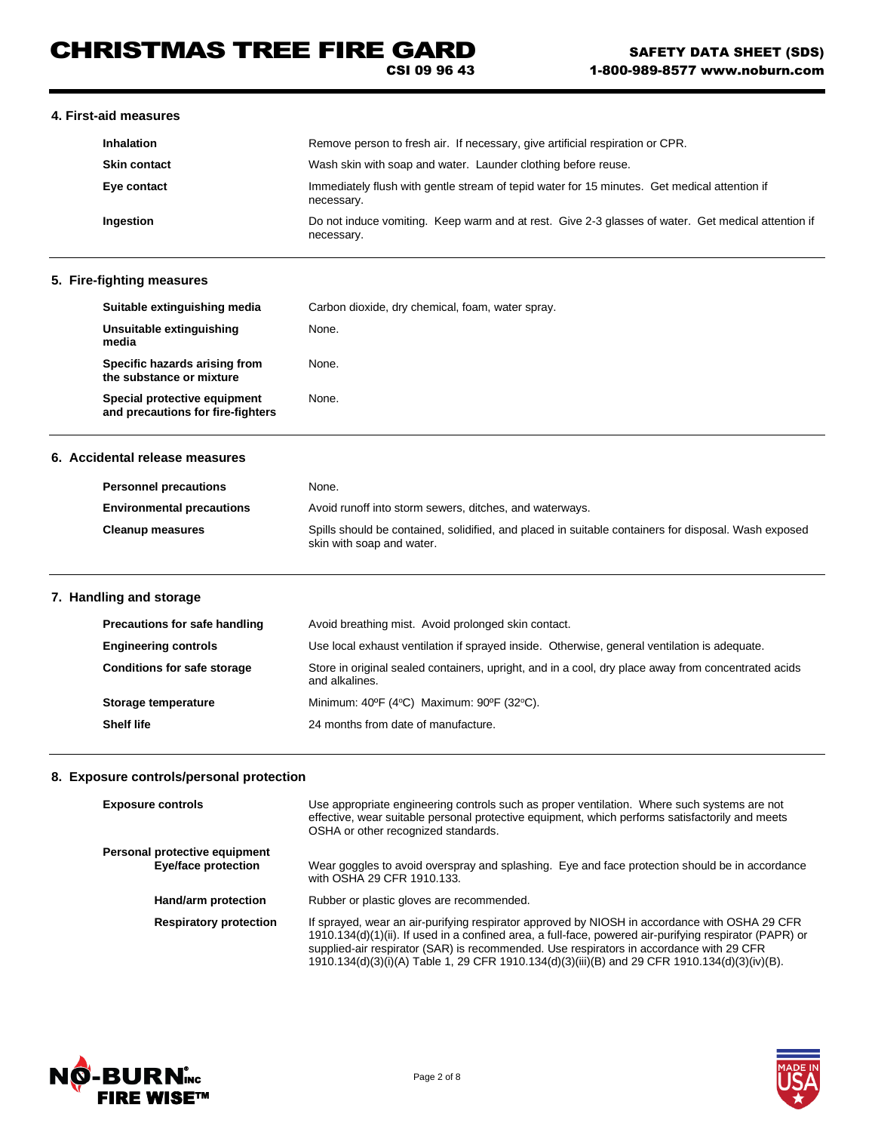### **4. First-aid measures**

| <b>Inhalation</b>   | Remove person to fresh air. If necessary, give artificial respiration or CPR.                                    |  |
|---------------------|------------------------------------------------------------------------------------------------------------------|--|
| <b>Skin contact</b> | Wash skin with soap and water. Launder clothing before reuse.                                                    |  |
| Eye contact         | Immediately flush with gentle stream of tepid water for 15 minutes. Get medical attention if<br>necessary.       |  |
| Ingestion           | Do not induce vomiting. Keep warm and at rest. Give 2-3 glasses of water. Get medical attention if<br>necessary. |  |

## **5. Fire-fighting measures**

| Suitable extinguishing media                                      | Carbon dioxide, dry chemical, foam, water spray. |
|-------------------------------------------------------------------|--------------------------------------------------|
| Unsuitable extinguishing<br>media                                 | None.                                            |
| Specific hazards arising from<br>the substance or mixture         | None.                                            |
| Special protective equipment<br>and precautions for fire-fighters | None.                                            |

### **6. Accidental release measures**

| <b>Personnel precautions</b>     | None.                                                                                                                             |
|----------------------------------|-----------------------------------------------------------------------------------------------------------------------------------|
| <b>Environmental precautions</b> | Avoid runoff into storm sewers, ditches, and waterways.                                                                           |
| <b>Cleanup measures</b>          | Spills should be contained, solidified, and placed in suitable containers for disposal. Wash exposed<br>skin with soap and water. |

## **7. Handling and storage**

| Precautions for safe handling      | Avoid breathing mist. Avoid prolonged skin contact.                                                                   |  |
|------------------------------------|-----------------------------------------------------------------------------------------------------------------------|--|
| <b>Engineering controls</b>        | Use local exhaust ventilation if sprayed inside. Otherwise, general ventilation is adequate.                          |  |
| <b>Conditions for safe storage</b> | Store in original sealed containers, upright, and in a cool, dry place away from concentrated acids<br>and alkalines. |  |
| Storage temperature                | Minimum: $40^{\circ}F$ (4 $^{\circ}C$ ) Maximum: $90^{\circ}F$ (32 $^{\circ}C$ ).                                     |  |
| <b>Shelf life</b>                  | 24 months from date of manufacture.                                                                                   |  |

## **8. Exposure controls/personal protection**

| <b>Exposure controls</b>                             | Use appropriate engineering controls such as proper ventilation. Where such systems are not<br>effective, wear suitable personal protective equipment, which performs satisfactorily and meets<br>OSHA or other recognized standards.                                                                                                                                                                |
|------------------------------------------------------|------------------------------------------------------------------------------------------------------------------------------------------------------------------------------------------------------------------------------------------------------------------------------------------------------------------------------------------------------------------------------------------------------|
| Personal protective equipment<br>Eye/face protection | Wear goggles to avoid overspray and splashing. Eye and face protection should be in accordance<br>with OSHA 29 CFR 1910.133.                                                                                                                                                                                                                                                                         |
| Hand/arm protection                                  | Rubber or plastic gloves are recommended.                                                                                                                                                                                                                                                                                                                                                            |
| <b>Respiratory protection</b>                        | If sprayed, wear an air-purifying respirator approved by NIOSH in accordance with OSHA 29 CFR<br>1910.134(d)(1)(ii). If used in a confined area, a full-face, powered air-purifying respirator (PAPR) or<br>supplied-air respirator (SAR) is recommended. Use respirators in accordance with 29 CFR<br>1910.134(d)(3)(i)(A) Table 1, 29 CFR 1910.134(d)(3)(iii)(B) and 29 CFR 1910.134(d)(3)(iv)(B). |



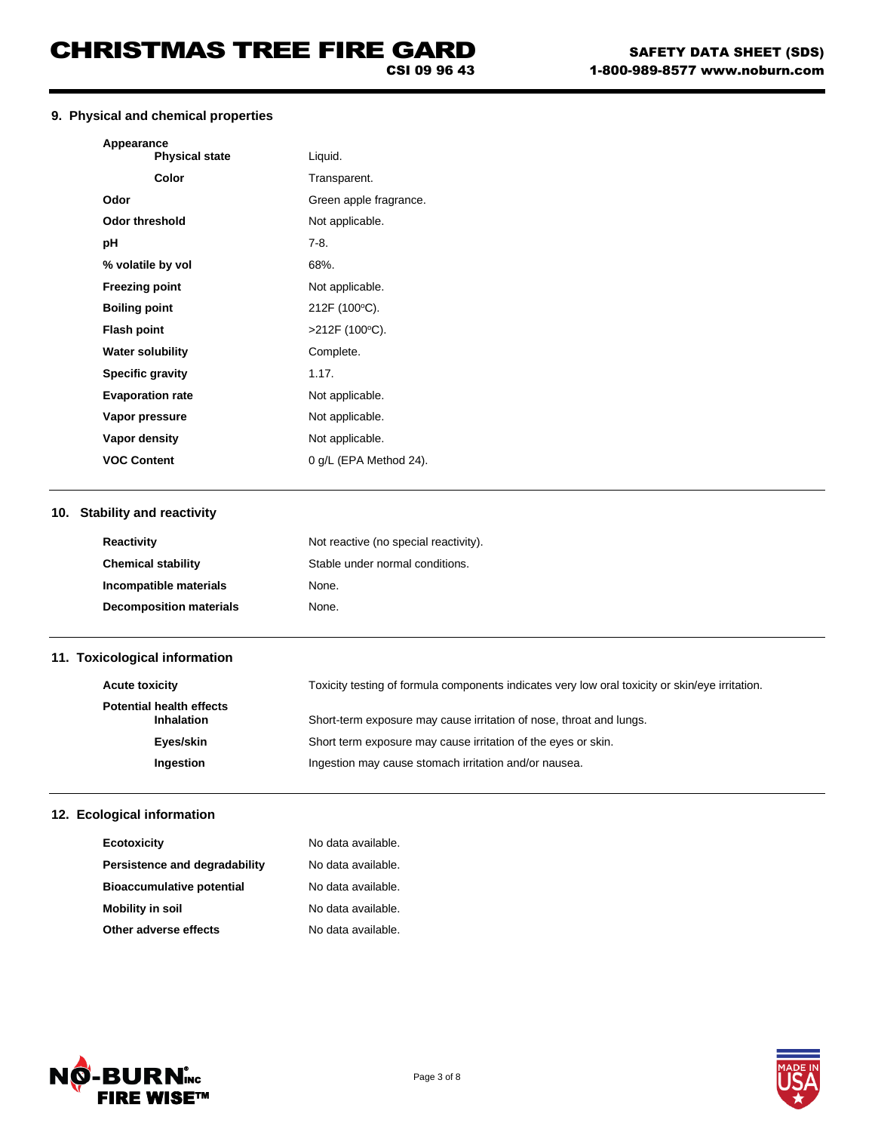## **9. Physical and chemical properties**

| Appearance<br><b>Physical state</b> | Liquid.                               |  |
|-------------------------------------|---------------------------------------|--|
| Color                               | Transparent.                          |  |
| Odor                                | Green apple fragrance.                |  |
| <b>Odor threshold</b>               | Not applicable.                       |  |
| рH                                  | $7-8.$                                |  |
| % volatile by vol                   | 68%.                                  |  |
| <b>Freezing point</b>               | Not applicable.                       |  |
| <b>Boiling point</b>                | 212F (100°C).                         |  |
| <b>Flash point</b>                  | >212F (100°C).                        |  |
| <b>Water solubility</b>             | Complete.                             |  |
| <b>Specific gravity</b>             | 1.17.                                 |  |
| <b>Evaporation rate</b>             | Not applicable.                       |  |
| Vapor pressure                      | Not applicable.                       |  |
| Vapor density                       | Not applicable.                       |  |
| <b>VOC Content</b>                  | 0 g/L (EPA Method 24).                |  |
| 10. Stability and reactivity        |                                       |  |
| <b>Reactivity</b>                   | Not reactive (no special reactivity). |  |
| <b>Chemical stability</b>           | Stable under normal conditions.       |  |

| <b>Chemical stability</b>      | Stable under normal conditions. |
|--------------------------------|---------------------------------|
| Incompatible materials         | None.                           |
| <b>Decomposition materials</b> | None.                           |

## **11. Toxicological information**

| <b>Acute toxicity</b>                                | Toxicity testing of formula components indicates very low oral toxicity or skin/eye irritation. |
|------------------------------------------------------|-------------------------------------------------------------------------------------------------|
| <b>Potential health effects</b><br><b>Inhalation</b> | Short-term exposure may cause irritation of nose, throat and lungs.                             |
| Eyes/skin                                            | Short term exposure may cause irritation of the eyes or skin.                                   |
| Ingestion                                            | Ingestion may cause stomach irritation and/or nausea.                                           |

## **12. Ecological information**

| Ecotoxicity                      | No data available. |
|----------------------------------|--------------------|
| Persistence and degradability    | No data available. |
| <b>Bioaccumulative potential</b> | No data available. |
| <b>Mobility in soil</b>          | No data available. |
| Other adverse effects            | No data available. |



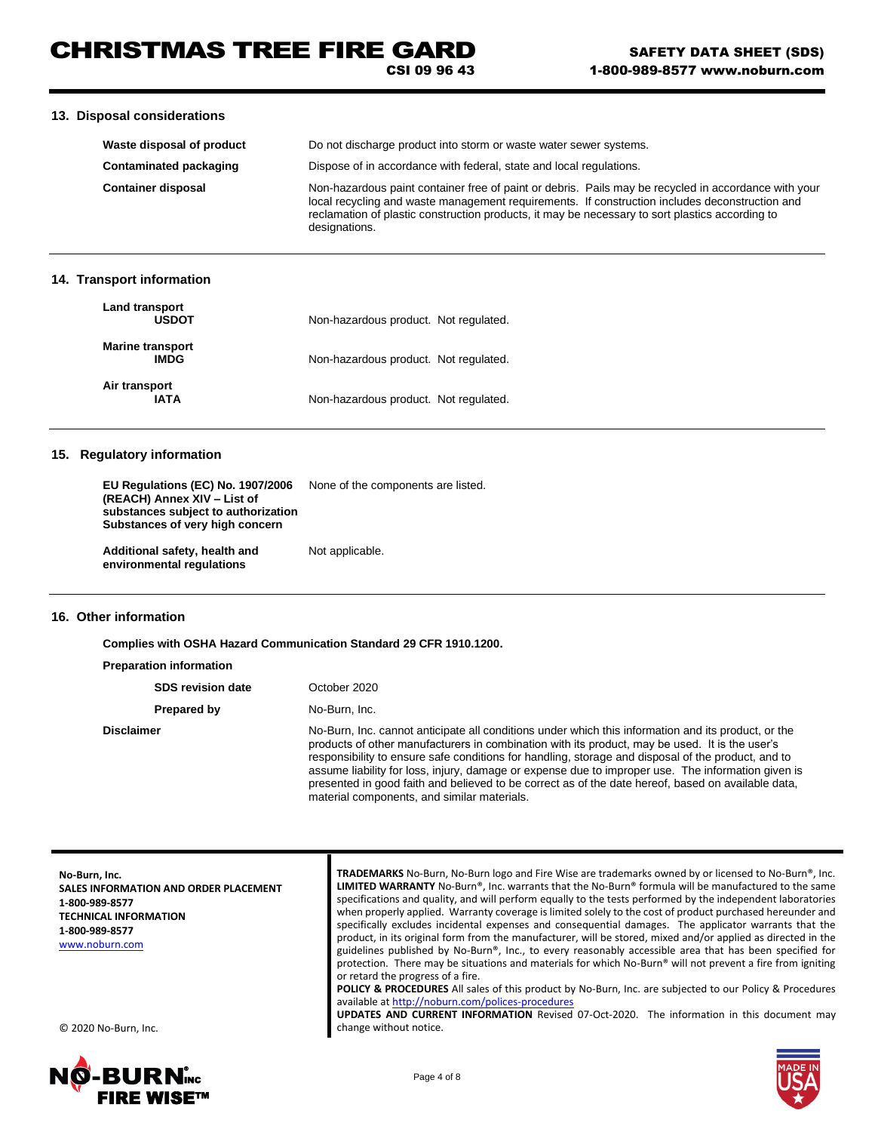### **13. Disposal considerations**

| Waste disposal of product     | Do not discharge product into storm or waste water sewer systems.                                                                                                                                                                                                                                                          |
|-------------------------------|----------------------------------------------------------------------------------------------------------------------------------------------------------------------------------------------------------------------------------------------------------------------------------------------------------------------------|
| <b>Contaminated packaging</b> | Dispose of in accordance with federal, state and local regulations.                                                                                                                                                                                                                                                        |
| <b>Container disposal</b>     | Non-hazardous paint container free of paint or debris. Pails may be recycled in accordance with your<br>local recycling and waste management requirements. If construction includes deconstruction and<br>reclamation of plastic construction products, it may be necessary to sort plastics according to<br>designations. |

### **14. Transport information**

| Land transport<br><b>USDOT</b>  | Non-hazardous product. Not regulated. |
|---------------------------------|---------------------------------------|
| <b>Marine transport</b><br>IMDG | Non-hazardous product. Not regulated. |
| Air transport<br>IATA           | Non-hazardous product. Not regulated. |

## **15. Regulatory information**

| EU Regulations (EC) No. 1907/2006<br>(REACH) Annex XIV - List of<br>substances subject to authorization<br>Substances of very high concern | None of the components are listed. |
|--------------------------------------------------------------------------------------------------------------------------------------------|------------------------------------|
| Additional safety, health and<br>environmental regulations                                                                                 | Not applicable.                    |

## **16. Other information**

**Complies with OSHA Hazard Communication Standard 29 CFR 1910.1200.**

| <b>Preparation information</b> |                                                                                                                                                                                                                                                                                                                                                                                                                                                                                                                         |
|--------------------------------|-------------------------------------------------------------------------------------------------------------------------------------------------------------------------------------------------------------------------------------------------------------------------------------------------------------------------------------------------------------------------------------------------------------------------------------------------------------------------------------------------------------------------|
| <b>SDS revision date</b>       | October 2020                                                                                                                                                                                                                                                                                                                                                                                                                                                                                                            |
| Prepared by                    | No-Burn, Inc.                                                                                                                                                                                                                                                                                                                                                                                                                                                                                                           |
| <b>Disclaimer</b>              | No-Burn, Inc. cannot anticipate all conditions under which this information and its product, or the<br>products of other manufacturers in combination with its product, may be used. It is the user's<br>responsibility to ensure safe conditions for handling, storage and disposal of the product, and to<br>assume liability for loss, injury, damage or expense due to improper use. The information given is<br>presented in good faith and believed to be correct as of the date hereof, based on available data, |

material components, and similar materials.

| No-Burn, Inc.<br>SALES INFORMATION AND ORDER PLACEMENT<br>1-800-989-8577<br><b>TECHNICAL INFORMATION</b><br>1-800-989-8577<br>www.noburn.com | TRADEMARKS No-Burn, No-Burn logo and Fire Wise are trademarks owned by or licensed to No-Burn <sup>®</sup> , Inc.<br><b>LIMITED WARRANTY</b> No-Burn®, Inc. warrants that the No-Burn® formula will be manufactured to the same<br>specifications and quality, and will perform equally to the tests performed by the independent laboratories<br>when properly applied. Warranty coverage is limited solely to the cost of product purchased hereunder and<br>specifically excludes incidental expenses and consequential damages. The applicator warrants that the<br>product, in its original form from the manufacturer, will be stored, mixed and/or applied as directed in the<br>guidelines published by No-Burn®, Inc., to every reasonably accessible area that has been specified for<br>protection. There may be situations and materials for which No-Burn® will not prevent a fire from igniting<br>or retard the progress of a fire.<br><b>POLICY &amp; PROCEDURES</b> All sales of this product by No-Burn, Inc. are subjected to our Policy & Procedures<br>available at http://noburn.com/polices-procedures<br><b>UPDATES AND CURRENT INFORMATION</b> Revised 07-Oct-2020. The information in this document may |
|----------------------------------------------------------------------------------------------------------------------------------------------|-----------------------------------------------------------------------------------------------------------------------------------------------------------------------------------------------------------------------------------------------------------------------------------------------------------------------------------------------------------------------------------------------------------------------------------------------------------------------------------------------------------------------------------------------------------------------------------------------------------------------------------------------------------------------------------------------------------------------------------------------------------------------------------------------------------------------------------------------------------------------------------------------------------------------------------------------------------------------------------------------------------------------------------------------------------------------------------------------------------------------------------------------------------------------------------------------------------------------------------|
| © 2020 No-Burn, Inc.                                                                                                                         | change without notice.                                                                                                                                                                                                                                                                                                                                                                                                                                                                                                                                                                                                                                                                                                                                                                                                                                                                                                                                                                                                                                                                                                                                                                                                            |

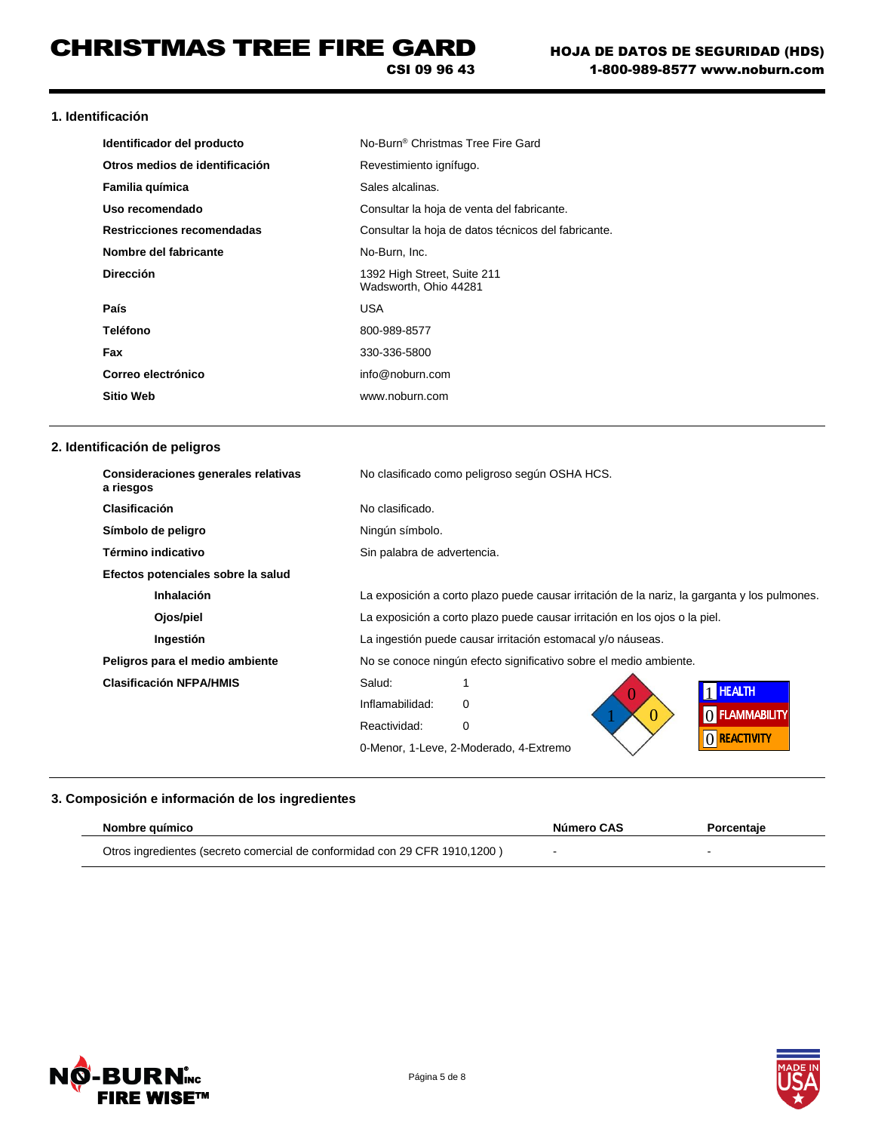**1. Identificación** 

| Identificador del producto     | No-Burn <sup>®</sup> Christmas Tree Fire Gard        |
|--------------------------------|------------------------------------------------------|
| Otros medios de identificación | Revestimiento ignífugo.                              |
| Familia química                | Sales alcalinas.                                     |
| Uso recomendado                | Consultar la hoja de venta del fabricante.           |
| Restricciones recomendadas     | Consultar la hoja de datos técnicos del fabricante.  |
| Nombre del fabricante          | No-Burn, Inc.                                        |
| <b>Dirección</b>               | 1392 High Street, Suite 211<br>Wadsworth, Ohio 44281 |
| País                           | USA                                                  |
| Teléfono                       | 800-989-8577                                         |
| Fax                            | 330-336-5800                                         |
| Correo electrónico             | info@noburn.com                                      |
| <b>Sitio Web</b>               | www.noburn.com                                       |

## **2. Identificación de peligros**

| Consideraciones generales relativas<br>a riesgos | No clasificado como peligroso según OSHA HCS.                                                |
|--------------------------------------------------|----------------------------------------------------------------------------------------------|
| <b>Clasificación</b>                             | No clasificado.                                                                              |
| Símbolo de peligro                               | Ningún símbolo.                                                                              |
| Término indicativo                               | Sin palabra de advertencia.                                                                  |
| Efectos potenciales sobre la salud               |                                                                                              |
| <b>Inhalación</b>                                | La exposición a corto plazo puede causar irritación de la nariz, la garganta y los pulmones. |
| Ojos/piel                                        | La exposición a corto plazo puede causar irritación en los ojos o la piel.                   |
| Ingestión                                        | La ingestión puede causar irritación estomacal y/o náuseas.                                  |
| Peligros para el medio ambiente                  | No se conoce ningún efecto significativo sobre el medio ambiente.                            |
| <b>Clasificación NFPA/HMIS</b>                   | Salud:<br><b>THEALTH</b>                                                                     |
|                                                  | Inflamabilidad:<br>$\Omega$<br>O FLAMMABILITY                                                |
|                                                  | 0<br>Reactividad:<br>0                                                                       |
|                                                  | () REACTIVITY<br>0-Menor, 1-Leve, 2-Moderado, 4-Extremo                                      |

## **3. Composición e información de los ingredientes**

| Nombre auímico                                                             | Número CAS | Porcentaie |
|----------------------------------------------------------------------------|------------|------------|
| Otros ingredientes (secreto comercial de conformidad con 29 CFR 1910,1200) |            |            |



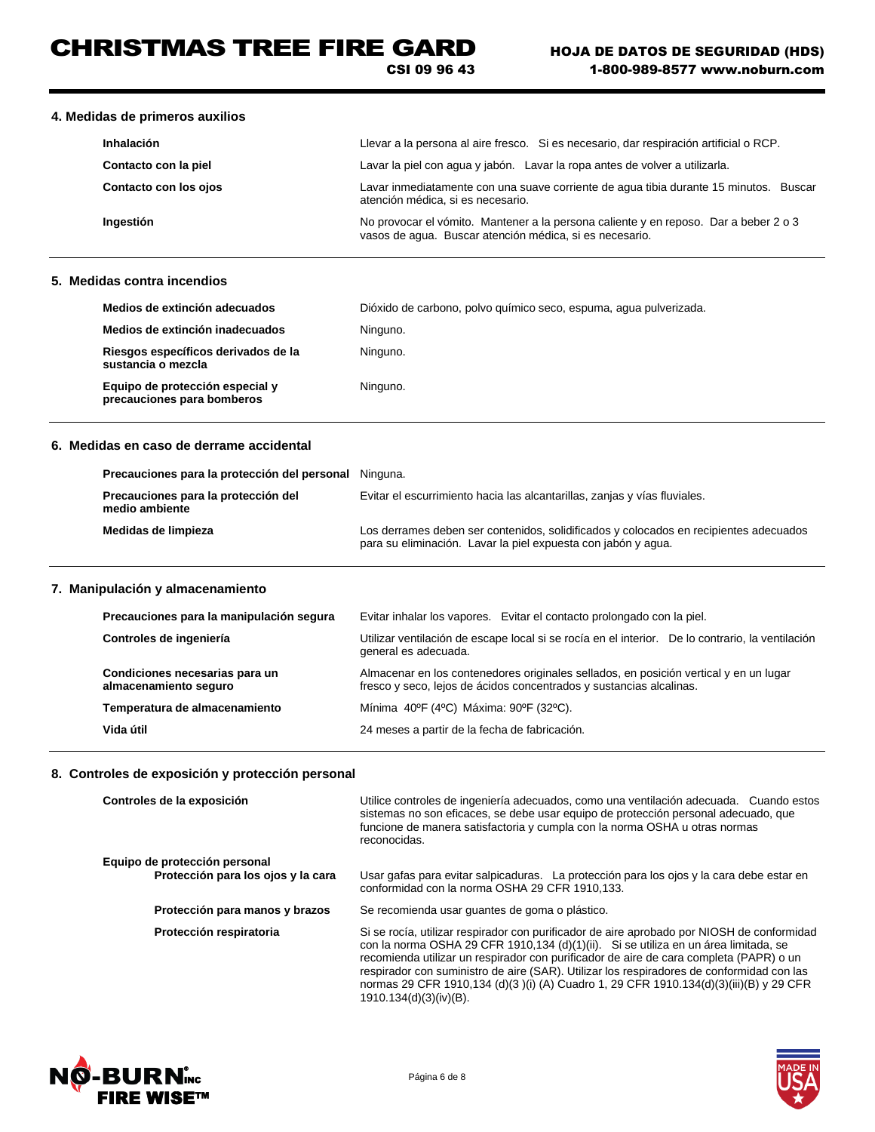# CHRISTMAS TREE FIRE GARD

CSI 09 96 43

### **4. Medidas de primeros auxilios**

| Inhalación            | Llevar a la persona al aire fresco. Si es necesario, dar respiración artificial o RCP.                                                          |
|-----------------------|-------------------------------------------------------------------------------------------------------------------------------------------------|
| Contacto con la piel  | Lavar la piel con agua y jabón. Lavar la ropa antes de volver a utilizarla.                                                                     |
| Contacto con los ojos | Lavar inmediatamente con una suave corriente de aqua tibia durante 15 minutos.<br>Buscar<br>atención médica, si es necesario.                   |
| Ingestión             | No provocar el vómito. Mantener a la persona caliente y en reposo. Dar a beber 2 o 3<br>vasos de aqua. Buscar atención médica, si es necesario. |

### **5. Medidas contra incendios**

| Medios de extinción adecuados                                 | Dióxido de carbono, polvo químico seco, espuma, agua pulverizada. |
|---------------------------------------------------------------|-------------------------------------------------------------------|
| Medios de extinción inadecuados                               | Ninguno.                                                          |
| Riesgos específicos derivados de la<br>sustancia o mezcla     | Ninguno.                                                          |
| Equipo de protección especial y<br>precauciones para bomberos | Ninguno.                                                          |

### **6. Medidas en caso de derrame accidental**

| Precauciones para la protección del personal Ninguna. |                                                                                                                                                        |
|-------------------------------------------------------|--------------------------------------------------------------------------------------------------------------------------------------------------------|
| Precauciones para la protección del<br>medio ambiente | Evitar el escurrimiento hacia las alcantarillas, zanjas y vías fluviales.                                                                              |
| Medidas de limpieza                                   | Los derrames deben ser contenidos, solidificados y colocados en recipientes adecuados<br>para su eliminación. Lavar la piel expuesta con jabón y agua. |

## **7. Manipulación y almacenamiento**

| Precauciones para la manipulación segura                | Evitar inhalar los vapores. Evitar el contacto prolongado con la piel.                                                                                       |
|---------------------------------------------------------|--------------------------------------------------------------------------------------------------------------------------------------------------------------|
| Controles de ingeniería                                 | Utilizar ventilación de escape local si se rocía en el interior. De lo contrario, la ventilación<br>general es adecuada.                                     |
| Condiciones necesarias para un<br>almacenamiento seguro | Almacenar en los contenedores originales sellados, en posición vertical y en un lugar<br>fresco y seco, lejos de ácidos concentrados y sustancias alcalinas. |
| Temperatura de almacenamiento                           | Mínima 40°F (4°C) Máxima: 90°F (32°C).                                                                                                                       |
| Vida útil                                               | 24 meses a partir de la fecha de fabricación.                                                                                                                |

## **8. Controles de exposición y protección personal**

| Controles de la exposición                                          | Utilice controles de ingeniería adecuados, como una ventilación adecuada. Cuando estos<br>sistemas no son eficaces, se debe usar equipo de protección personal adecuado, que<br>funcione de manera satisfactoria y cumpla con la norma OSHA u otras normas<br>reconocidas.                                                                                                                                                                                                                   |
|---------------------------------------------------------------------|----------------------------------------------------------------------------------------------------------------------------------------------------------------------------------------------------------------------------------------------------------------------------------------------------------------------------------------------------------------------------------------------------------------------------------------------------------------------------------------------|
| Equipo de protección personal<br>Protección para los ojos y la cara | Usar gafas para evitar salpicaduras. La protección para los ojos y la cara debe estar en                                                                                                                                                                                                                                                                                                                                                                                                     |
|                                                                     | conformidad con la norma OSHA 29 CFR 1910.133.                                                                                                                                                                                                                                                                                                                                                                                                                                               |
| Protección para manos y brazos                                      | Se recomienda usar guantes de goma o plástico.                                                                                                                                                                                                                                                                                                                                                                                                                                               |
| Protección respiratoria                                             | Si se rocía, utilizar respirador con purificador de aire aprobado por NIOSH de conformidad<br>con la norma OSHA 29 CFR 1910,134 (d)(1)(ii). Si se utiliza en un área limitada, se<br>recomienda utilizar un respirador con purificador de aire de cara completa (PAPR) o un<br>respirador con suministro de aire (SAR). Utilizar los respiradores de conformidad con las<br>normas 29 CFR 1910,134 (d)(3 )(i) (A) Cuadro 1, 29 CFR 1910.134(d)(3)(iii)(B) y 29 CFR<br>1910.134(d)(3)(iv)(B). |



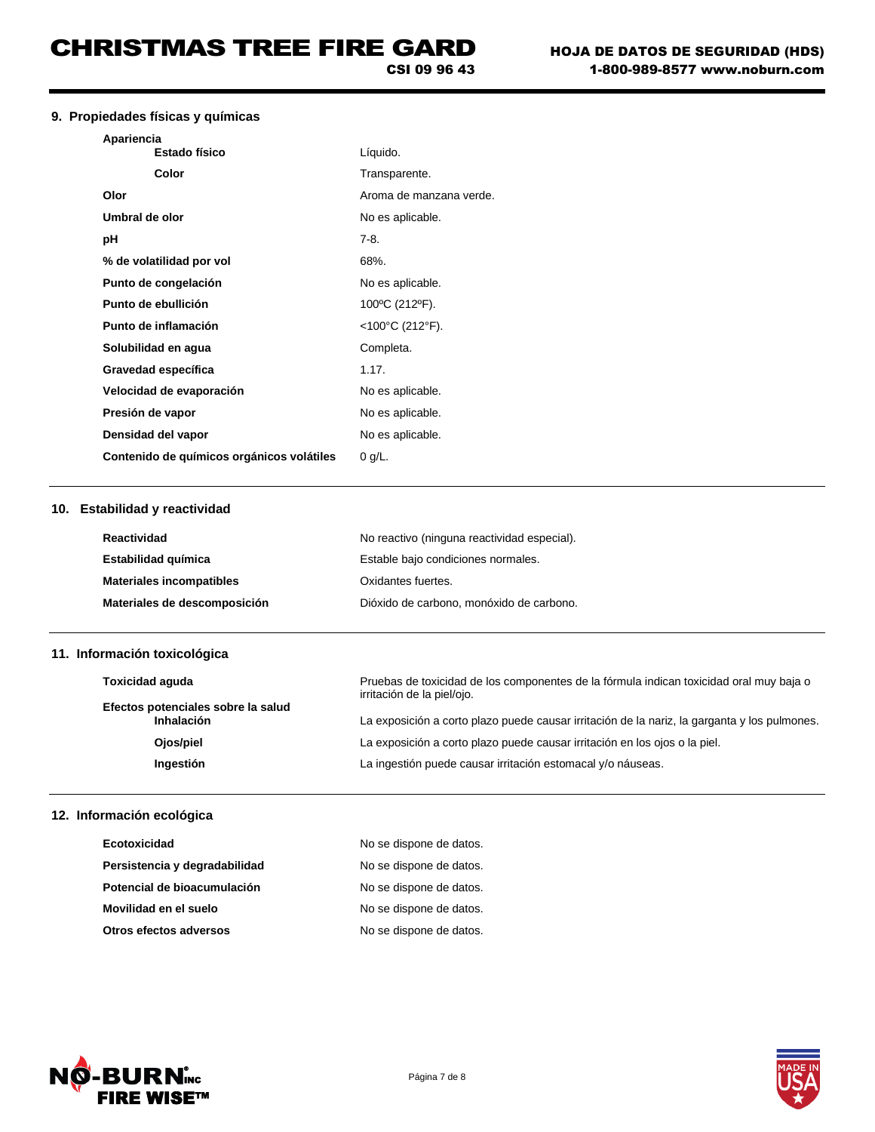CSI 09 96 43

## **9. Propiedades físicas y químicas**

| Líquido.                |
|-------------------------|
| Transparente.           |
| Aroma de manzana verde. |
| No es aplicable.        |
| 7-8.                    |
| 68%.                    |
| No es aplicable.        |
| 100°C (212°F).          |
| $<$ 100°C (212°F).      |
| Completa.               |
| 1.17.                   |
| No es aplicable.        |
| No es aplicable.        |
| No es aplicable.        |
| $0$ g/L.                |
|                         |

### **10. Estabilidad y reactividad**

| Reactividad                     | No reactivo (ninguna reactividad especial). |
|---------------------------------|---------------------------------------------|
| Estabilidad química             | Estable bajo condiciones normales.          |
| <b>Materiales incompatibles</b> | Oxidantes fuertes.                          |
| Materiales de descomposición    | Dióxido de carbono, monóxido de carbono,    |

# **11. Información toxicológica**

| <b>Toxicidad aquda</b>                           | Pruebas de toxicidad de los componentes de la fórmula indican toxicidad oral muy baja o<br>irritación de la piel/ojo. |
|--------------------------------------------------|-----------------------------------------------------------------------------------------------------------------------|
| Efectos potenciales sobre la salud<br>Inhalación | La exposición a corto plazo puede causar irritación de la nariz, la garganta y los pulmones.                          |
| Ojos/piel                                        | La exposición a corto plazo puede causar irritación en los ojos o la piel.                                            |
| Ingestión                                        | La ingestión puede causar irritación estomacal y/o náuseas.                                                           |
|                                                  |                                                                                                                       |

# **12. Información ecológica**

| Ecotoxicidad                  | No se dispone de datos. |
|-------------------------------|-------------------------|
| Persistencia y degradabilidad | No se dispone de datos. |
| Potencial de bioacumulación   | No se dispone de datos. |
| Movilidad en el suelo         | No se dispone de datos. |
| Otros efectos adversos        | No se dispone de datos. |